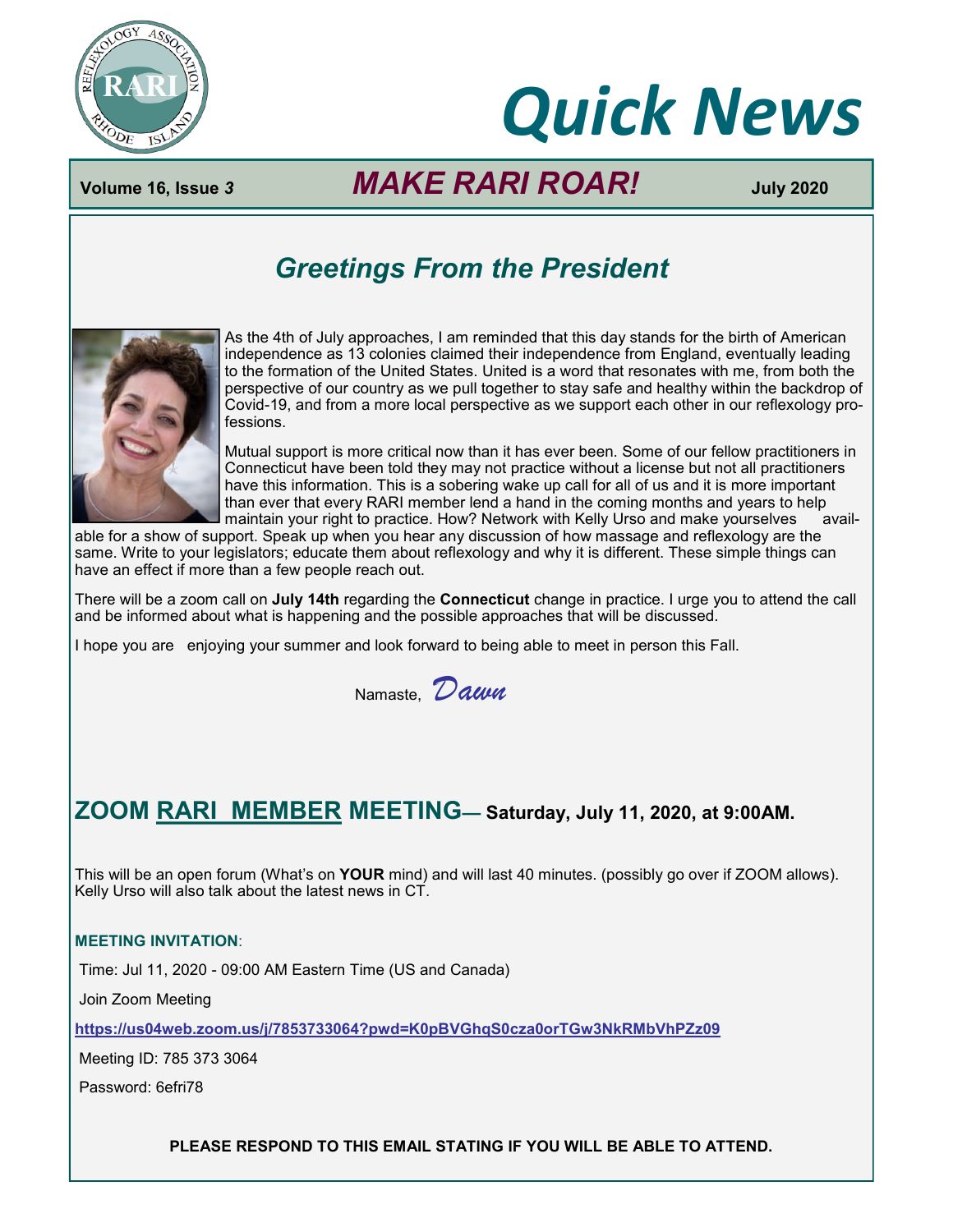

# *Quick News*

# **Volume 16, Issue** *3 MAKE RARI ROAR!* **July 2020**

# *Greetings From the President*



As the 4th of July approaches, I am reminded that this day stands for the birth of American independence as 13 colonies claimed their independence from England, eventually leading to the formation of the United States. United is a word that resonates with me, from both the perspective of our country as we pull together to stay safe and healthy within the backdrop of Covid-19, and from a more local perspective as we support each other in our reflexology professions.

Mutual support is more critical now than it has ever been. Some of our fellow practitioners in Connecticut have been told they may not practice without a license but not all practitioners have this information. This is a sobering wake up call for all of us and it is more important than ever that every RARI member lend a hand in the coming months and years to help maintain your right to practice. How? Network with Kelly Urso and make yourselves avail-

able for a show of support. Speak up when you hear any discussion of how massage and reflexology are the same. Write to your legislators; educate them about reflexology and why it is different. These simple things can have an effect if more than a few people reach out.

There will be a zoom call on **July 14th** regarding the **Connecticut** change in practice. I urge you to attend the call and be informed about what is happening and the possible approaches that will be discussed.

I hope you are enjoying your summer and look forward to being able to meet in person this Fall.

Namaste, *Dawn*

# **ZOOM RARI MEMBER MEETING— Saturday, July 11, 2020, at 9:00AM.**

This will be an open forum (What's on **YOUR** mind) and will last 40 minutes. (possibly go over if ZOOM allows). Kelly Urso will also talk about the latest news in CT.

#### **MEETING INVITATION**:

Time: Jul 11, 2020 - 09:00 AM Eastern Time (US and Canada)

Join Zoom Meeting

**<https://us04web.zoom.us/j/7853733064?pwd=K0pBVGhqS0cza0orTGw3NkRMbVhPZz09>**

Meeting ID: 785 373 3064

Password: 6efri78

**PLEASE RESPOND TO THIS EMAIL STATING IF YOU WILL BE ABLE TO ATTEND.**